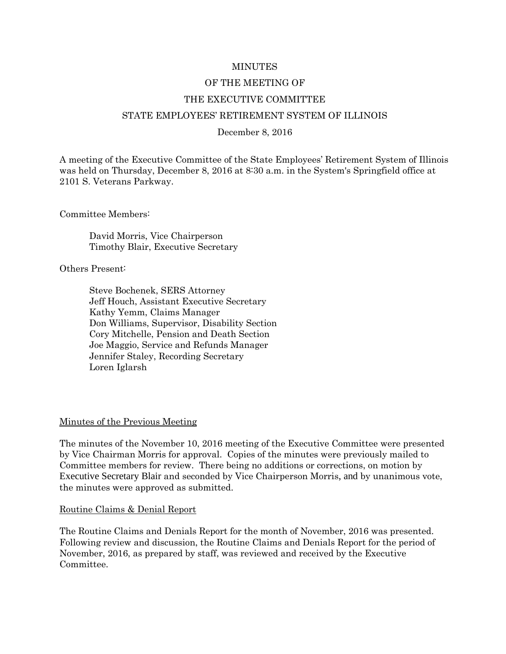#### MINUTES

## OF THE MEETING OF

#### THE EXECUTIVE COMMITTEE

#### STATE EMPLOYEES' RETIREMENT SYSTEM OF ILLINOIS

#### December 8, 2016

A meeting of the Executive Committee of the State Employees' Retirement System of Illinois was held on Thursday, December 8, 2016 at 8:30 a.m. in the System's Springfield office at 2101 S. Veterans Parkway.

Committee Members:

David Morris, Vice Chairperson Timothy Blair, Executive Secretary

Others Present:

Steve Bochenek, SERS Attorney Jeff Houch, Assistant Executive Secretary Kathy Yemm, Claims Manager Don Williams, Supervisor, Disability Section Cory Mitchelle, Pension and Death Section Joe Maggio, Service and Refunds Manager Jennifer Staley, Recording Secretary Loren Iglarsh

#### Minutes of the Previous Meeting

The minutes of the November 10, 2016 meeting of the Executive Committee were presented by Vice Chairman Morris for approval. Copies of the minutes were previously mailed to Committee members for review. There being no additions or corrections, on motion by Executive Secretary Blair and seconded by Vice Chairperson Morris, and by unanimous vote, the minutes were approved as submitted.

#### Routine Claims & Denial Report

The Routine Claims and Denials Report for the month of November, 2016 was presented. Following review and discussion, the Routine Claims and Denials Report for the period of November, 2016, as prepared by staff, was reviewed and received by the Executive Committee.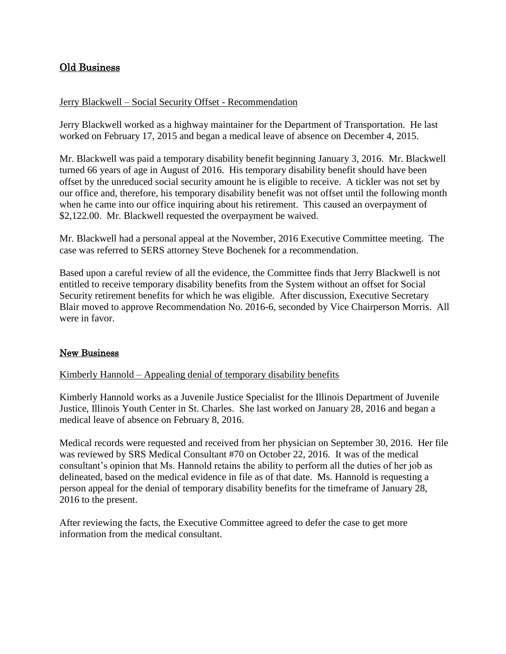# Old Business

### Jerry Blackwell – Social Security Offset - Recommendation

Jerry Blackwell worked as a highway maintainer for the Department of Transportation. He last worked on February 17, 2015 and began a medical leave of absence on December 4, 2015.

Mr. Blackwell was paid a temporary disability benefit beginning January 3, 2016. Mr. Blackwell turned 66 years of age in August of 2016. His temporary disability benefit should have been offset by the unreduced social security amount he is eligible to receive. A tickler was not set by our office and, therefore, his temporary disability benefit was not offset until the following month when he came into our office inquiring about his retirement. This caused an overpayment of \$2,122.00. Mr. Blackwell requested the overpayment be waived.

Mr. Blackwell had a personal appeal at the November, 2016 Executive Committee meeting. The case was referred to SERS attorney Steve Bochenek for a recommendation.

Based upon a careful review of all the evidence, the Committee finds that Jerry Blackwell is not entitled to receive temporary disability benefits from the System without an offset for Social Security retirement benefits for which he was eligible. After discussion, Executive Secretary Blair moved to approve Recommendation No. 2016-6, seconded by Vice Chairperson Morris. All were in favor.

# New Business

### Kimberly Hannold – Appealing denial of temporary disability benefits

Kimberly Hannold works as a Juvenile Justice Specialist for the Illinois Department of Juvenile Justice, Illinois Youth Center in St. Charles. She last worked on January 28, 2016 and began a medical leave of absence on February 8, 2016.

Medical records were requested and received from her physician on September 30, 2016. Her file was reviewed by SRS Medical Consultant #70 on October 22, 2016. It was of the medical consultant's opinion that Ms. Hannold retains the ability to perform all the duties of her job as delineated, based on the medical evidence in file as of that date. Ms. Hannold is requesting a person appeal for the denial of temporary disability benefits for the timeframe of January 28, 2016 to the present.

After reviewing the facts, the Executive Committee agreed to defer the case to get more information from the medical consultant.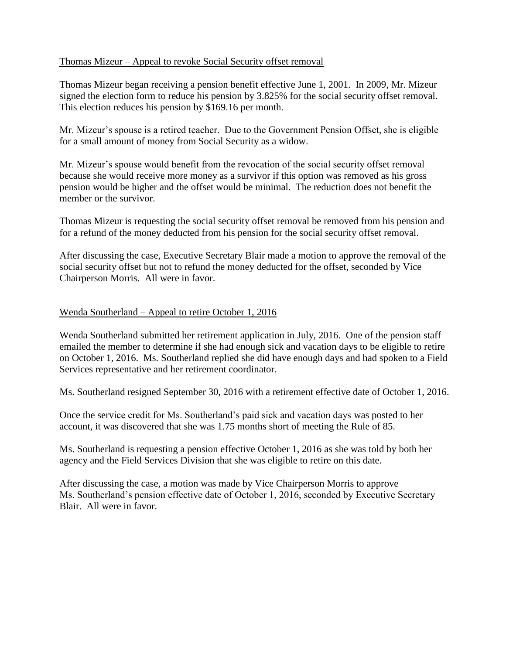### Thomas Mizeur – Appeal to revoke Social Security offset removal

Thomas Mizeur began receiving a pension benefit effective June 1, 2001. In 2009, Mr. Mizeur signed the election form to reduce his pension by 3.825% for the social security offset removal. This election reduces his pension by \$169.16 per month.

Mr. Mizeur's spouse is a retired teacher. Due to the Government Pension Offset, she is eligible for a small amount of money from Social Security as a widow.

Mr. Mizeur's spouse would benefit from the revocation of the social security offset removal because she would receive more money as a survivor if this option was removed as his gross pension would be higher and the offset would be minimal. The reduction does not benefit the member or the survivor.

Thomas Mizeur is requesting the social security offset removal be removed from his pension and for a refund of the money deducted from his pension for the social security offset removal.

After discussing the case, Executive Secretary Blair made a motion to approve the removal of the social security offset but not to refund the money deducted for the offset, seconded by Vice Chairperson Morris. All were in favor.

### Wenda Southerland – Appeal to retire October 1, 2016

Wenda Southerland submitted her retirement application in July, 2016. One of the pension staff emailed the member to determine if she had enough sick and vacation days to be eligible to retire on October 1, 2016. Ms. Southerland replied she did have enough days and had spoken to a Field Services representative and her retirement coordinator.

Ms. Southerland resigned September 30, 2016 with a retirement effective date of October 1, 2016.

Once the service credit for Ms. Southerland's paid sick and vacation days was posted to her account, it was discovered that she was 1.75 months short of meeting the Rule of 85.

Ms. Southerland is requesting a pension effective October 1, 2016 as she was told by both her agency and the Field Services Division that she was eligible to retire on this date.

After discussing the case, a motion was made by Vice Chairperson Morris to approve Ms. Southerland's pension effective date of October 1, 2016, seconded by Executive Secretary Blair. All were in favor.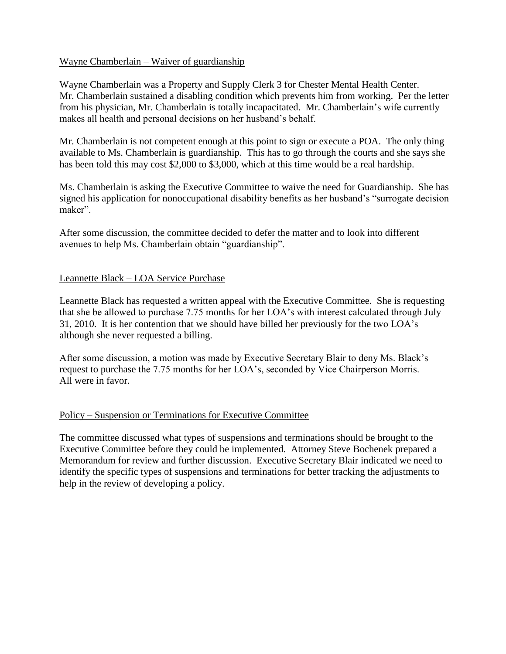### Wayne Chamberlain – Waiver of guardianship

Wayne Chamberlain was a Property and Supply Clerk 3 for Chester Mental Health Center. Mr. Chamberlain sustained a disabling condition which prevents him from working. Per the letter from his physician, Mr. Chamberlain is totally incapacitated. Mr. Chamberlain's wife currently makes all health and personal decisions on her husband's behalf.

Mr. Chamberlain is not competent enough at this point to sign or execute a POA. The only thing available to Ms. Chamberlain is guardianship. This has to go through the courts and she says she has been told this may cost \$2,000 to \$3,000, which at this time would be a real hardship.

Ms. Chamberlain is asking the Executive Committee to waive the need for Guardianship. She has signed his application for nonoccupational disability benefits as her husband's "surrogate decision maker".

After some discussion, the committee decided to defer the matter and to look into different avenues to help Ms. Chamberlain obtain "guardianship".

### Leannette Black – LOA Service Purchase

Leannette Black has requested a written appeal with the Executive Committee. She is requesting that she be allowed to purchase 7.75 months for her LOA's with interest calculated through July 31, 2010. It is her contention that we should have billed her previously for the two LOA's although she never requested a billing.

After some discussion, a motion was made by Executive Secretary Blair to deny Ms. Black's request to purchase the 7.75 months for her LOA's, seconded by Vice Chairperson Morris. All were in favor.

# Policy – Suspension or Terminations for Executive Committee

The committee discussed what types of suspensions and terminations should be brought to the Executive Committee before they could be implemented. Attorney Steve Bochenek prepared a Memorandum for review and further discussion. Executive Secretary Blair indicated we need to identify the specific types of suspensions and terminations for better tracking the adjustments to help in the review of developing a policy.